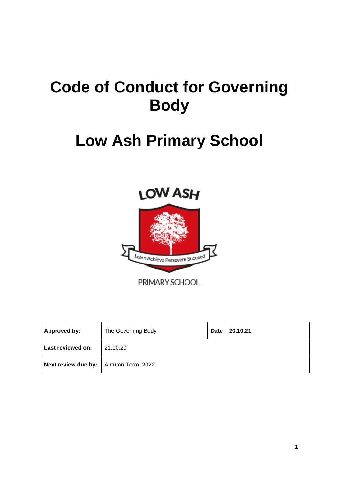# **Code of Conduct for Governing Body**

# **Low Ash Primary School**



| Approved by:                                | The Governing Body | 20.10.21<br>Date |
|---------------------------------------------|--------------------|------------------|
| Last reviewed on:                           | 21.10.20           |                  |
| <b>Next review due by:</b> Autumn Term 2022 |                    |                  |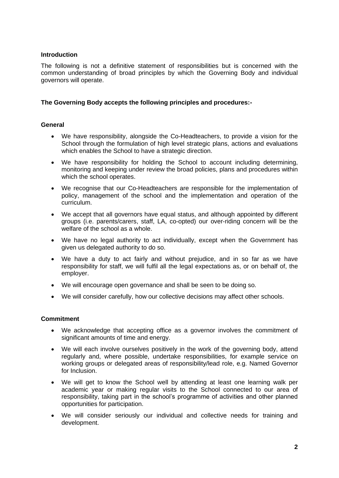### **Introduction**

The following is not a definitive statement of responsibilities but is concerned with the common understanding of broad principles by which the Governing Body and individual governors will operate.

### **The Governing Body accepts the following principles and procedures:-**

### **General**

- We have responsibility, alongside the Co-Headteachers, to provide a vision for the School through the formulation of high level strategic plans, actions and evaluations which enables the School to have a strategic direction.
- We have responsibility for holding the School to account including determining, monitoring and keeping under review the broad policies, plans and procedures within which the school operates.
- We recognise that our Co-Headteachers are responsible for the implementation of policy, management of the school and the implementation and operation of the curriculum.
- We accept that all governors have equal status, and although appointed by different groups (i.e. parents/carers, staff, LA, co-opted) our over-riding concern will be the welfare of the school as a whole.
- We have no legal authority to act individually, except when the Government has given us delegated authority to do so.
- We have a duty to act fairly and without prejudice, and in so far as we have responsibility for staff, we will fulfil all the legal expectations as, or on behalf of, the employer.
- We will encourage open governance and shall be seen to be doing so.
- We will consider carefully, how our collective decisions may affect other schools.

### **Commitment**

- We acknowledge that accepting office as a governor involves the commitment of significant amounts of time and energy.
- We will each involve ourselves positively in the work of the governing body, attend regularly and, where possible, undertake responsibilities, for example service on working groups or delegated areas of responsibility/lead role, e.g. Named Governor for Inclusion.
- We will get to know the School well by attending at least one learning walk per academic year or making regular visits to the School connected to our area of responsibility, taking part in the school's programme of activities and other planned opportunities for participation.
- We will consider seriously our individual and collective needs for training and development.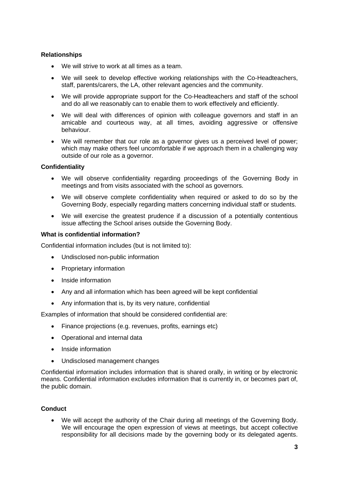## **Relationships**

- We will strive to work at all times as a team.
- We will seek to develop effective working relationships with the Co-Headteachers, staff, parents/carers, the LA, other relevant agencies and the community.
- We will provide appropriate support for the Co-Headteachers and staff of the school and do all we reasonably can to enable them to work effectively and efficiently.
- We will deal with differences of opinion with colleague governors and staff in an amicable and courteous way, at all times, avoiding aggressive or offensive behaviour.
- We will remember that our role as a governor gives us a perceived level of power; which may make others feel uncomfortable if we approach them in a challenging way outside of our role as a governor.

### **Confidentiality**

- We will observe confidentiality regarding proceedings of the Governing Body in meetings and from visits associated with the school as governors.
- We will observe complete confidentiality when required or asked to do so by the Governing Body, especially regarding matters concerning individual staff or students.
- We will exercise the greatest prudence if a discussion of a potentially contentious issue affecting the School arises outside the Governing Body.

### **What is confidential information?**

Confidential information includes (but is not limited to):

- Undisclosed non-public information
- Proprietary information
- Inside information
- Any and all information which has been agreed will be kept confidential
- Any information that is, by its very nature, confidential

Examples of information that should be considered confidential are:

- Finance projections (e.g. revenues, profits, earnings etc)
- Operational and internal data
- Inside information
- Undisclosed management changes

Confidential information includes information that is shared orally, in writing or by electronic means. Confidential information excludes information that is currently in, or becomes part of, the public domain.

### **Conduct**

We will accept the authority of the Chair during all meetings of the Governing Body. We will encourage the open expression of views at meetings, but accept collective responsibility for all decisions made by the governing body or its delegated agents.